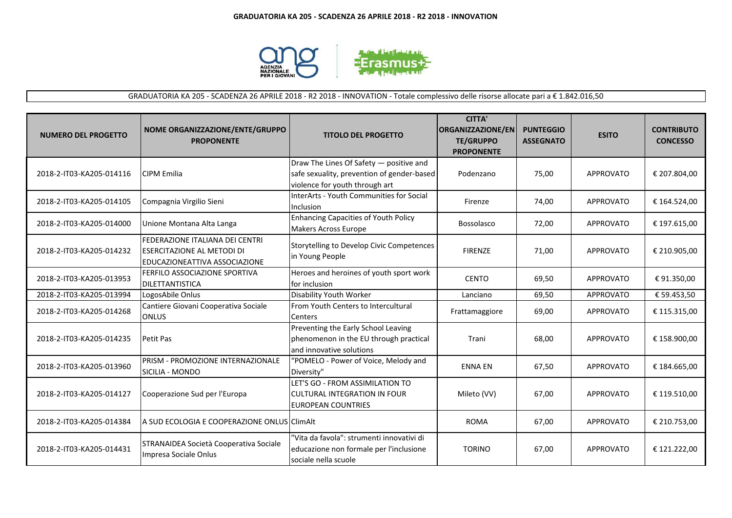

# GRADUATORIA KA 205 - SCADENZA 26 APRILE 2018 - R2 2018 - INNOVATION - Totale complessivo delle risorse allocate pari a € 1.842.016,50

| <b>NUMERO DEL PROGETTO</b> | NOME ORGANIZZAZIONE/ENTE/GRUPPO<br><b>PROPONENTE</b>                                                         | <b>TITOLO DEL PROGETTO</b>                                                                                              | <b>CITTA'</b><br>ORGANIZZAZIONE/EN<br><b>TE/GRUPPO</b><br><b>PROPONENTE</b> | <b>PUNTEGGIO</b><br><b>ASSEGNATO</b> | <b>ESITO</b>     | <b>CONTRIBUTO</b><br><b>CONCESSO</b> |
|----------------------------|--------------------------------------------------------------------------------------------------------------|-------------------------------------------------------------------------------------------------------------------------|-----------------------------------------------------------------------------|--------------------------------------|------------------|--------------------------------------|
| 2018-2-IT03-KA205-014116   | <b>CIPM Emilia</b>                                                                                           | Draw The Lines Of Safety - positive and<br>safe sexuality, prevention of gender-based<br>violence for youth through art | Podenzano                                                                   | 75,00                                | APPROVATO        | € 207.804,00                         |
| 2018-2-IT03-KA205-014105   | Compagnia Virgilio Sieni                                                                                     | InterArts - Youth Communities for Social<br>Inclusion                                                                   | Firenze                                                                     | 74,00                                | APPROVATO        | € 164.524,00                         |
| 2018-2-IT03-KA205-014000   | Unione Montana Alta Langa                                                                                    | <b>Enhancing Capacities of Youth Policy</b><br>Makers Across Europe                                                     | Bossolasco                                                                  | 72,00                                | <b>APPROVATO</b> | € 197.615,00                         |
| 2018-2-IT03-KA205-014232   | <b>FEDERAZIONE ITALIANA DEI CENTRI</b><br><b>ESERCITAZIONE AL METODI DI</b><br>EDUCAZIONEATTIVA ASSOCIAZIONE | Storytelling to Develop Civic Competences<br>in Young People                                                            | <b>FIRENZE</b>                                                              | 71,00                                | <b>APPROVATO</b> | € 210.905,00                         |
| 2018-2-IT03-KA205-013953   | <b>FERFILO ASSOCIAZIONE SPORTIVA</b><br><b>DILETTANTISTICA</b>                                               | Heroes and heroines of youth sport work<br>for inclusion                                                                | <b>CENTO</b>                                                                | 69,50                                | <b>APPROVATO</b> | €91.350,00                           |
| 2018-2-IT03-KA205-013994   | LogosAbile Onlus                                                                                             | Disability Youth Worker                                                                                                 | Lanciano                                                                    | 69,50                                | <b>APPROVATO</b> | € 59.453,50                          |
| 2018-2-IT03-KA205-014268   | Cantiere Giovani Cooperativa Sociale<br><b>ONLUS</b>                                                         | From Youth Centers to Intercultural<br>Centers                                                                          | Frattamaggiore                                                              | 69,00                                | <b>APPROVATO</b> | € 115.315,00                         |
| 2018-2-IT03-KA205-014235   | Petit Pas                                                                                                    | Preventing the Early School Leaving<br>phenomenon in the EU through practical<br>and innovative solutions               | Trani                                                                       | 68,00                                | <b>APPROVATO</b> | € 158.900,00                         |
| 2018-2-IT03-KA205-013960   | PRISM - PROMOZIONE INTERNAZIONALE<br>SICILIA - MONDO                                                         | "POMELO - Power of Voice, Melody and<br>Diversity"                                                                      | <b>ENNA EN</b>                                                              | 67,50                                | <b>APPROVATO</b> | € 184.665,00                         |
| 2018-2-IT03-KA205-014127   | Cooperazione Sud per l'Europa                                                                                | LET'S GO - FROM ASSIMILATION TO<br><b>CULTURAL INTEGRATION IN FOUR</b><br><b>EUROPEAN COUNTRIES</b>                     | Mileto (VV)                                                                 | 67,00                                | <b>APPROVATO</b> | € 119.510,00                         |
| 2018-2-IT03-KA205-014384   | A SUD ECOLOGIA E COOPERAZIONE ONLUS ClimAlt                                                                  |                                                                                                                         | <b>ROMA</b>                                                                 | 67,00                                | <b>APPROVATO</b> | € 210.753,00                         |
| 2018-2-IT03-KA205-014431   | STRANAIDEA Società Cooperativa Sociale<br>Impresa Sociale Onlus                                              | "Vita da favola": strumenti innovativi di<br>educazione non formale per l'inclusione<br>sociale nella scuole            | <b>TORINO</b>                                                               | 67,00                                | <b>APPROVATO</b> | € 121.222,00                         |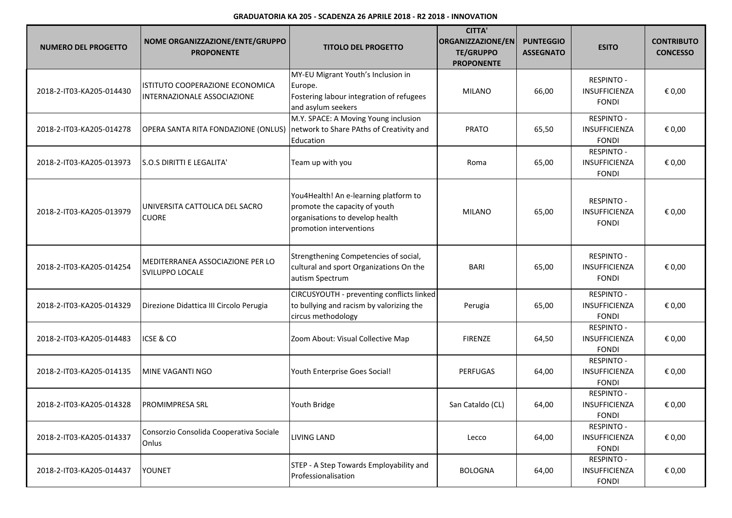| <b>NUMERO DEL PROGETTO</b> | NOME ORGANIZZAZIONE/ENTE/GRUPPO<br><b>PROPONENTE</b>                         | <b>TITOLO DEL PROGETTO</b>                                                                                                           | <b>CITTA'</b><br>ORGANIZZAZIONE/EN<br><b>TE/GRUPPO</b><br><b>PROPONENTE</b> | <b>PUNTEGGIO</b><br><b>ASSEGNATO</b> | <b>ESITO</b>                                              | <b>CONTRIBUTO</b><br><b>CONCESSO</b> |
|----------------------------|------------------------------------------------------------------------------|--------------------------------------------------------------------------------------------------------------------------------------|-----------------------------------------------------------------------------|--------------------------------------|-----------------------------------------------------------|--------------------------------------|
| 2018-2-IT03-KA205-014430   | ISTITUTO COOPERAZIONE ECONOMICA<br>INTERNAZIONALE ASSOCIAZIONE               | MY-EU Migrant Youth's Inclusion in<br>Europe.<br>Fostering labour integration of refugees<br>and asylum seekers                      | <b>MILANO</b>                                                               | 66,00                                | <b>RESPINTO -</b><br>INSUFFICIENZA<br><b>FONDI</b>        | € 0,00                               |
| 2018-2-IT03-KA205-014278   | OPERA SANTA RITA FONDAZIONE (ONLUS) network to Share PAths of Creativity and | M.Y. SPACE: A Moving Young inclusion<br>Education                                                                                    | <b>PRATO</b>                                                                | 65,50                                | <b>RESPINTO -</b><br><b>INSUFFICIENZA</b><br><b>FONDI</b> | € 0,00                               |
| 2018-2-IT03-KA205-013973   | S.O.S DIRITTI E LEGALITA'                                                    | Team up with you                                                                                                                     | Roma                                                                        | 65,00                                | <b>RESPINTO -</b><br><b>INSUFFICIENZA</b><br><b>FONDI</b> | € 0,00                               |
| 2018-2-IT03-KA205-013979   | UNIVERSITA CATTOLICA DEL SACRO<br><b>CUORE</b>                               | You4Health! An e-learning platform to<br>promote the capacity of youth<br>organisations to develop health<br>promotion interventions | <b>MILANO</b>                                                               | 65,00                                | <b>RESPINTO -</b><br><b>INSUFFICIENZA</b><br><b>FONDI</b> | € 0,00                               |
| 2018-2-IT03-KA205-014254   | MEDITERRANEA ASSOCIAZIONE PER LO<br><b>SVILUPPO LOCALE</b>                   | Strengthening Competencies of social,<br>cultural and sport Organizations On the<br>autism Spectrum                                  | <b>BARI</b>                                                                 | 65,00                                | <b>RESPINTO -</b><br>INSUFFICIENZA<br><b>FONDI</b>        | € 0,00                               |
| 2018-2-IT03-KA205-014329   | Direzione Didattica III Circolo Perugia                                      | CIRCUSYOUTH - preventing conflicts linked<br>to bullying and racism by valorizing the<br>circus methodology                          | Perugia                                                                     | 65,00                                | <b>RESPINTO -</b><br>INSUFFICIENZA<br><b>FONDI</b>        | € 0,00                               |
| 2018-2-IT03-KA205-014483   | ICSE & CO                                                                    | Zoom About: Visual Collective Map                                                                                                    | <b>FIRENZE</b>                                                              | 64,50                                | <b>RESPINTO -</b><br><b>INSUFFICIENZA</b><br><b>FONDI</b> | € 0,00                               |
| 2018-2-IT03-KA205-014135   | MINE VAGANTI NGO                                                             | Youth Enterprise Goes Social!                                                                                                        | <b>PERFUGAS</b>                                                             | 64,00                                | <b>RESPINTO -</b><br>INSUFFICIENZA<br><b>FONDI</b>        | € 0,00                               |
| 2018-2-IT03-KA205-014328   | PROMIMPRESA SRL                                                              | Youth Bridge                                                                                                                         | San Cataldo (CL)                                                            | 64,00                                | <b>RESPINTO -</b><br>INSUFFICIENZA<br><b>FONDI</b>        | € 0,00                               |
| 2018-2-IT03-KA205-014337   | Consorzio Consolida Cooperativa Sociale<br>Onlus                             | <b>LIVING LAND</b>                                                                                                                   | Lecco                                                                       | 64,00                                | <b>RESPINTO -</b><br>INSUFFICIENZA<br><b>FONDI</b>        | € 0,00                               |
| 2018-2-IT03-KA205-014437   | <b>YOUNET</b>                                                                | STEP - A Step Towards Employability and<br>Professionalisation                                                                       | <b>BOLOGNA</b>                                                              | 64,00                                | <b>RESPINTO -</b><br>INSUFFICIENZA<br><b>FONDI</b>        | € 0,00                               |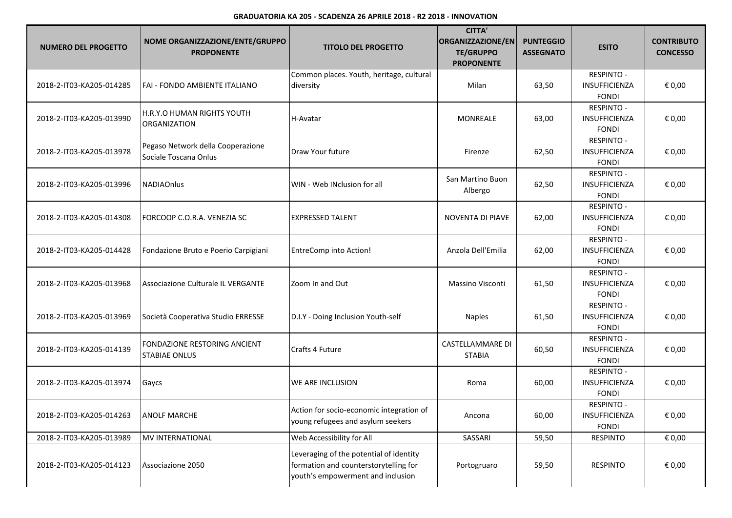| <b>NUMERO DEL PROGETTO</b> | NOME ORGANIZZAZIONE/ENTE/GRUPPO<br><b>PROPONENTE</b>       | <b>TITOLO DEL PROGETTO</b>                                                                                            | <b>CITTA'</b><br>ORGANIZZAZIONE/EN<br><b>TE/GRUPPO</b><br><b>PROPONENTE</b> | <b>PUNTEGGIO</b><br><b>ASSEGNATO</b> | <b>ESITO</b>                                              | <b>CONTRIBUTO</b><br><b>CONCESSO</b> |
|----------------------------|------------------------------------------------------------|-----------------------------------------------------------------------------------------------------------------------|-----------------------------------------------------------------------------|--------------------------------------|-----------------------------------------------------------|--------------------------------------|
| 2018-2-IT03-KA205-014285   | FAI - FONDO AMBIENTE ITALIANO                              | Common places. Youth, heritage, cultural<br>diversity                                                                 | Milan                                                                       | 63,50                                | <b>RESPINTO -</b><br>INSUFFICIENZA<br><b>FONDI</b>        | € 0,00                               |
| 2018-2-IT03-KA205-013990   | H.R.Y.O HUMAN RIGHTS YOUTH<br><b>ORGANIZATION</b>          | H-Avatar                                                                                                              | MONREALE                                                                    | 63,00                                | <b>RESPINTO -</b><br>INSUFFICIENZA<br><b>FONDI</b>        | € 0,00                               |
| 2018-2-IT03-KA205-013978   | Pegaso Network della Cooperazione<br>Sociale Toscana Onlus | Draw Your future                                                                                                      | Firenze                                                                     | 62,50                                | <b>RESPINTO -</b><br>INSUFFICIENZA<br><b>FONDI</b>        | € 0,00                               |
| 2018-2-IT03-KA205-013996   | <b>NADIAOnlus</b>                                          | WIN - Web INclusion for all                                                                                           | San Martino Buon<br>Albergo                                                 | 62,50                                | <b>RESPINTO -</b><br>INSUFFICIENZA<br><b>FONDI</b>        | € 0,00                               |
| 2018-2-IT03-KA205-014308   | FORCOOP C.O.R.A. VENEZIA SC                                | <b>EXPRESSED TALENT</b>                                                                                               | NOVENTA DI PIAVE                                                            | 62,00                                | <b>RESPINTO -</b><br><b>INSUFFICIENZA</b><br><b>FONDI</b> | € 0,00                               |
| 2018-2-IT03-KA205-014428   | Fondazione Bruto e Poerio Carpigiani                       | <b>EntreComp into Action!</b>                                                                                         | Anzola Dell'Emilia                                                          | 62,00                                | <b>RESPINTO -</b><br>INSUFFICIENZA<br><b>FONDI</b>        | € 0,00                               |
| 2018-2-IT03-KA205-013968   | Associazione Culturale IL VERGANTE                         | Zoom In and Out                                                                                                       | <b>Massino Visconti</b>                                                     | 61,50                                | <b>RESPINTO -</b><br>INSUFFICIENZA<br><b>FONDI</b>        | € 0,00                               |
| 2018-2-IT03-KA205-013969   | Società Cooperativa Studio ERRESSE                         | D.I.Y - Doing Inclusion Youth-self                                                                                    | <b>Naples</b>                                                               | 61,50                                | <b>RESPINTO -</b><br>INSUFFICIENZA<br><b>FONDI</b>        | € 0,00                               |
| 2018-2-IT03-KA205-014139   | FONDAZIONE RESTORING ANCIENT<br><b>STABIAE ONLUS</b>       | Crafts 4 Future                                                                                                       | <b>CASTELLAMMARE DI</b><br><b>STABIA</b>                                    | 60,50                                | <b>RESPINTO -</b><br>INSUFFICIENZA<br><b>FONDI</b>        | € 0,00                               |
| 2018-2-IT03-KA205-013974   | Gaycs                                                      | <b>WE ARE INCLUSION</b>                                                                                               | Roma                                                                        | 60,00                                | <b>RESPINTO -</b><br>INSUFFICIENZA<br><b>FONDI</b>        | € 0,00                               |
| 2018-2-IT03-KA205-014263   | <b>ANOLF MARCHE</b>                                        | Action for socio-economic integration of<br>young refugees and asylum seekers                                         | Ancona                                                                      | 60,00                                | <b>RESPINTO -</b><br>INSUFFICIENZA<br><b>FONDI</b>        | € 0,00                               |
| 2018-2-IT03-KA205-013989   | MV INTERNATIONAL                                           | Web Accessibility for All                                                                                             | SASSARI                                                                     | 59,50                                | <b>RESPINTO</b>                                           | € 0,00                               |
| 2018-2-IT03-KA205-014123   | Associazione 2050                                          | Leveraging of the potential of identity<br>formation and counterstorytelling for<br>youth's empowerment and inclusion | Portogruaro                                                                 | 59,50                                | <b>RESPINTO</b>                                           | € 0,00                               |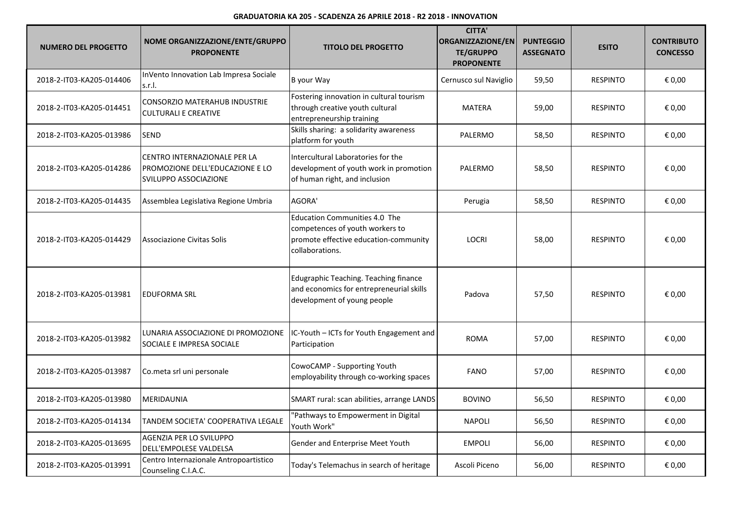| <b>NUMERO DEL PROGETTO</b> | NOME ORGANIZZAZIONE/ENTE/GRUPPO<br><b>PROPONENTE</b>                                     | <b>TITOLO DEL PROGETTO</b>                                                                                                          | <b>CITTA'</b><br>ORGANIZZAZIONE/EN<br><b>TE/GRUPPO</b><br><b>PROPONENTE</b> | <b>PUNTEGGIO</b><br><b>ASSEGNATO</b> | <b>ESITO</b>    | <b>CONTRIBUTO</b><br><b>CONCESSO</b> |
|----------------------------|------------------------------------------------------------------------------------------|-------------------------------------------------------------------------------------------------------------------------------------|-----------------------------------------------------------------------------|--------------------------------------|-----------------|--------------------------------------|
| 2018-2-IT03-KA205-014406   | InVento Innovation Lab Impresa Sociale<br>s.r.l.                                         | B your Way                                                                                                                          | Cernusco sul Naviglio                                                       | 59,50                                | <b>RESPINTO</b> | € 0,00                               |
| 2018-2-IT03-KA205-014451   | <b>CONSORZIO MATERAHUB INDUSTRIE</b><br><b>CULTURALI E CREATIVE</b>                      | Fostering innovation in cultural tourism<br>through creative youth cultural<br>entrepreneurship training                            | <b>MATERA</b>                                                               | 59,00                                | <b>RESPINTO</b> | € 0,00                               |
| 2018-2-IT03-KA205-013986   | <b>SEND</b>                                                                              | Skills sharing: a solidarity awareness<br>platform for youth                                                                        | PALERMO                                                                     | 58,50                                | <b>RESPINTO</b> | € 0,00                               |
| 2018-2-IT03-KA205-014286   | CENTRO INTERNAZIONALE PER LA<br>PROMOZIONE DELL'EDUCAZIONE E LO<br>SVILUPPO ASSOCIAZIONE | Intercultural Laboratories for the<br>development of youth work in promotion<br>of human right, and inclusion                       | PALERMO                                                                     | 58,50                                | <b>RESPINTO</b> | € 0,00                               |
| 2018-2-IT03-KA205-014435   | Assemblea Legislativa Regione Umbria                                                     | AGORA'                                                                                                                              | Perugia                                                                     | 58,50                                | <b>RESPINTO</b> | € 0,00                               |
| 2018-2-IT03-KA205-014429   | Associazione Civitas Solis                                                               | <b>Education Communities 4.0 The</b><br>competences of youth workers to<br>promote effective education-community<br>collaborations. | <b>LOCRI</b>                                                                | 58,00                                | <b>RESPINTO</b> | € 0,00                               |
| 2018-2-IT03-KA205-013981   | <b>EDUFORMA SRL</b>                                                                      | Edugraphic Teaching. Teaching finance<br>and economics for entrepreneurial skills<br>development of young people                    | Padova                                                                      | 57,50                                | <b>RESPINTO</b> | € 0,00                               |
| 2018-2-IT03-KA205-013982   | LUNARIA ASSOCIAZIONE DI PROMOZIONE<br>SOCIALE E IMPRESA SOCIALE                          | IC-Youth - ICTs for Youth Engagement and<br>Participation                                                                           | <b>ROMA</b>                                                                 | 57,00                                | <b>RESPINTO</b> | € 0,00                               |
| 2018-2-IT03-KA205-013987   | Co.meta srl uni personale                                                                | CowoCAMP - Supporting Youth<br>employability through co-working spaces                                                              | <b>FANO</b>                                                                 | 57,00                                | <b>RESPINTO</b> | € 0,00                               |
| 2018-2-IT03-KA205-013980   | MERIDAUNIA                                                                               | SMART rural: scan abilities, arrange LANDS                                                                                          | <b>BOVINO</b>                                                               | 56,50                                | <b>RESPINTO</b> | € 0,00                               |
| 2018-2-IT03-KA205-014134   | TANDEM SOCIETA' COOPERATIVA LEGALE                                                       | 'Pathways to Empowerment in Digital<br>Youth Work"                                                                                  | <b>NAPOLI</b>                                                               | 56,50                                | <b>RESPINTO</b> | € 0,00                               |
| 2018-2-IT03-KA205-013695   | AGENZIA PER LO SVILUPPO<br>DELL'EMPOLESE VALDELSA                                        | Gender and Enterprise Meet Youth                                                                                                    | <b>EMPOLI</b>                                                               | 56,00                                | <b>RESPINTO</b> | € 0,00                               |
| 2018-2-IT03-KA205-013991   | Centro Internazionale Antropoartistico<br>Counseling C.I.A.C.                            | Today's Telemachus in search of heritage                                                                                            | Ascoli Piceno                                                               | 56,00                                | <b>RESPINTO</b> | € 0,00                               |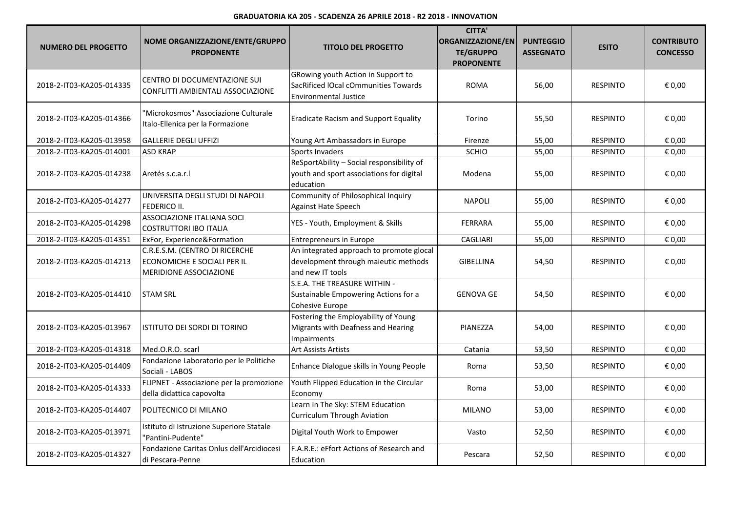| <b>NUMERO DEL PROGETTO</b> | NOME ORGANIZZAZIONE/ENTE/GRUPPO<br><b>PROPONENTE</b>                                    | <b>TITOLO DEL PROGETTO</b>                                                                                 | <b>CITTA'</b><br><b>ORGANIZZAZIONE/EN</b><br><b>TE/GRUPPO</b><br><b>PROPONENTE</b> | <b>PUNTEGGIO</b><br><b>ASSEGNATO</b> | <b>ESITO</b>    | <b>CONTRIBUTO</b><br><b>CONCESSO</b> |
|----------------------------|-----------------------------------------------------------------------------------------|------------------------------------------------------------------------------------------------------------|------------------------------------------------------------------------------------|--------------------------------------|-----------------|--------------------------------------|
| 2018-2-IT03-KA205-014335   | CENTRO DI DOCUMENTAZIONE SUI<br>CONFLITTI AMBIENTALI ASSOCIAZIONE                       | GRowing youth Action in Support to<br>SacRificed lOcal cOmmunities Towards<br><b>Environmental Justice</b> | <b>ROMA</b>                                                                        | 56,00                                | <b>RESPINTO</b> | € 0,00                               |
| 2018-2-IT03-KA205-014366   | "Microkosmos" Associazione Culturale<br>Italo-Ellenica per la Formazione                | <b>Eradicate Racism and Support Equality</b>                                                               | Torino                                                                             | 55,50                                | <b>RESPINTO</b> | € 0,00                               |
| 2018-2-IT03-KA205-013958   | <b>GALLERIE DEGLI UFFIZI</b>                                                            | Young Art Ambassadors in Europe                                                                            | Firenze                                                                            | 55,00                                | <b>RESPINTO</b> | € 0,00                               |
| 2018-2-IT03-KA205-014001   | <b>ASD KRAP</b>                                                                         | <b>Sports Invaders</b>                                                                                     | <b>SCHIO</b>                                                                       | 55,00                                | <b>RESPINTO</b> | € 0,00                               |
| 2018-2-IT03-KA205-014238   | Aretés s.c.a.r.                                                                         | ReSportAbility - Social responsibility of<br>youth and sport associations for digital<br>education         | Modena                                                                             | 55,00                                | <b>RESPINTO</b> | € 0,00                               |
| 2018-2-IT03-KA205-014277   | UNIVERSITA DEGLI STUDI DI NAPOLI<br>FEDERICO II.                                        | Community of Philosophical Inquiry<br>Against Hate Speech                                                  | <b>NAPOLI</b>                                                                      | 55,00                                | <b>RESPINTO</b> | € 0,00                               |
| 2018-2-IT03-KA205-014298   | <b>ASSOCIAZIONE ITALIANA SOCI</b><br><b>COSTRUTTORI IBO ITALIA</b>                      | YES - Youth, Employment & Skills                                                                           | <b>FERRARA</b>                                                                     | 55,00                                | <b>RESPINTO</b> | € 0,00                               |
| 2018-2-IT03-KA205-014351   | ExFor, Experience&Formation                                                             | <b>Entrepreneurs in Europe</b>                                                                             | <b>CAGLIARI</b>                                                                    | 55,00                                | <b>RESPINTO</b> | € 0,00                               |
| 2018-2-IT03-KA205-014213   | C.R.E.S.M. (CENTRO DI RICERCHE<br>ECONOMICHE E SOCIALI PER IL<br>MERIDIONE ASSOCIAZIONE | An integrated approach to promote glocal<br>development through maieutic methods<br>and new IT tools       | <b>GIBELLINA</b>                                                                   | 54,50                                | <b>RESPINTO</b> | € 0,00                               |
| 2018-2-IT03-KA205-014410   | <b>ISTAM SRL</b>                                                                        | S.E.A. THE TREASURE WITHIN -<br>Sustainable Empowering Actions for a<br>Cohesive Europe                    | <b>GENOVA GE</b>                                                                   | 54,50                                | <b>RESPINTO</b> | € 0,00                               |
| 2018-2-IT03-KA205-013967   | ISTITUTO DEI SORDI DI TORINO                                                            | Fostering the Employability of Young<br>Migrants with Deafness and Hearing<br><b>Impairments</b>           | PIANEZZA                                                                           | 54,00                                | <b>RESPINTO</b> | € 0,00                               |
| 2018-2-IT03-KA205-014318   | Med.O.R.O. scarl                                                                        | <b>Art Assists Artists</b>                                                                                 | Catania                                                                            | 53,50                                | <b>RESPINTO</b> | € 0.00                               |
| 2018-2-IT03-KA205-014409   | Fondazione Laboratorio per le Politiche<br>Sociali - LABOS                              | Enhance Dialogue skills in Young People                                                                    | Roma                                                                               | 53,50                                | <b>RESPINTO</b> | € 0,00                               |
| 2018-2-IT03-KA205-014333   | FLIPNET - Associazione per la promozione<br>della didattica capovolta                   | Youth Flipped Education in the Circular<br>Economy                                                         | Roma                                                                               | 53,00                                | <b>RESPINTO</b> | € 0,00                               |
| 2018-2-IT03-KA205-014407   | POLITECNICO DI MILANO                                                                   | Learn In The Sky: STEM Education<br><b>Curriculum Through Aviation</b>                                     | <b>MILANO</b>                                                                      | 53,00                                | <b>RESPINTO</b> | € 0,00                               |
| 2018-2-IT03-KA205-013971   | Istituto di Istruzione Superiore Statale<br>"Pantini-Pudente"                           | Digital Youth Work to Empower                                                                              | Vasto                                                                              | 52,50                                | <b>RESPINTO</b> | € 0,00                               |
| 2018-2-IT03-KA205-014327   | Fondazione Caritas Onlus dell'Arcidiocesi<br>di Pescara-Penne                           | F.A.R.E.: eFfort Actions of Research and<br>Education                                                      | Pescara                                                                            | 52,50                                | <b>RESPINTO</b> | € 0,00                               |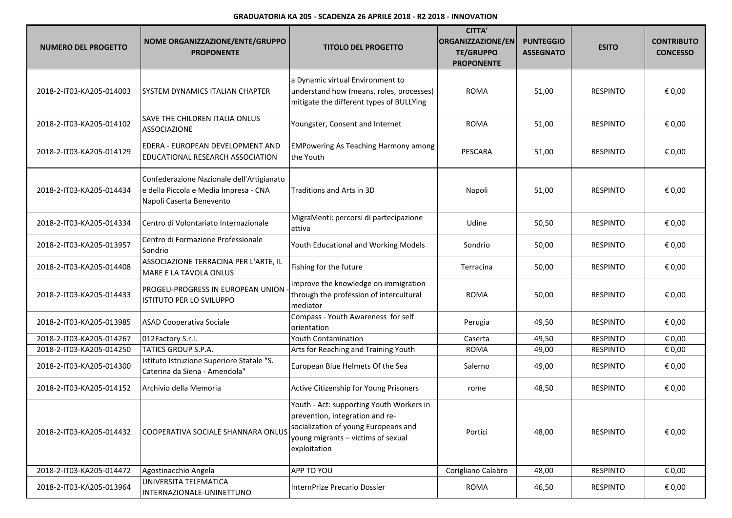| <b>NUMERO DEL PROGETTO</b> | NOME ORGANIZZAZIONE/ENTE/GRUPPO<br><b>PROPONENTE</b>                                                           | <b>TITOLO DEL PROGETTO</b>                                                                                                                                                | <b>CITTA'</b><br>ORGANIZZAZIONE/EN<br><b>TE/GRUPPO</b><br><b>PROPONENTE</b> | <b>PUNTEGGIO</b><br><b>ASSEGNATO</b> | <b>ESITO</b>    | <b>CONTRIBUTO</b><br><b>CONCESSO</b> |
|----------------------------|----------------------------------------------------------------------------------------------------------------|---------------------------------------------------------------------------------------------------------------------------------------------------------------------------|-----------------------------------------------------------------------------|--------------------------------------|-----------------|--------------------------------------|
| 2018-2-IT03-KA205-014003   | <b>SYSTEM DYNAMICS ITALIAN CHAPTER</b>                                                                         | a Dynamic virtual Environment to<br>understand how (means, roles, processes)<br>mitigate the different types of BULLYing                                                  | <b>ROMA</b>                                                                 | 51,00                                | <b>RESPINTO</b> | € 0,00                               |
| 2018-2-IT03-KA205-014102   | SAVE THE CHILDREN ITALIA ONLUS<br>ASSOCIAZIONE                                                                 | Youngster, Consent and Internet                                                                                                                                           | <b>ROMA</b>                                                                 | 51,00                                | <b>RESPINTO</b> | € 0,00                               |
| 2018-2-IT03-KA205-014129   | EDERA - EUROPEAN DEVELOPMENT AND<br>EDUCATIONAL RESEARCH ASSOCIATION                                           | <b>EMPowering As Teaching Harmony among</b><br>the Youth                                                                                                                  | PESCARA                                                                     | 51,00                                | <b>RESPINTO</b> | € 0,00                               |
| 2018-2-IT03-KA205-014434   | Confederazione Nazionale dell'Artigianato<br>e della Piccola e Media Impresa - CNA<br>Napoli Caserta Benevento | Traditions and Arts in 3D                                                                                                                                                 | Napoli                                                                      | 51,00                                | <b>RESPINTO</b> | € 0,00                               |
| 2018-2-IT03-KA205-014334   | Centro di Volontariato Internazionale                                                                          | MigraMenti: percorsi di partecipazione<br>attiva                                                                                                                          | Udine                                                                       | 50,50                                | <b>RESPINTO</b> | € 0,00                               |
| 2018-2-IT03-KA205-013957   | Centro di Formazione Professionale<br>Sondrio                                                                  | Youth Educational and Working Models                                                                                                                                      | Sondrio                                                                     | 50,00                                | <b>RESPINTO</b> | € 0,00                               |
| 2018-2-IT03-KA205-014408   | ASSOCIAZIONE TERRACINA PER L'ARTE, IL<br>MARE E LA TAVOLA ONLUS                                                | Fishing for the future                                                                                                                                                    | Terracina                                                                   | 50,00                                | <b>RESPINTO</b> | € 0,00                               |
| 2018-2-IT03-KA205-014433   | PROGEU-PROGRESS IN EUROPEAN UNION<br>ISTITUTO PER LO SVILUPPO                                                  | Improve the knowledge on immigration<br>through the profession of intercultural<br>mediator                                                                               | <b>ROMA</b>                                                                 | 50,00                                | <b>RESPINTO</b> | € 0,00                               |
| 2018-2-IT03-KA205-013985   | <b>ASAD Cooperativa Sociale</b>                                                                                | Compass - Youth Awareness for self<br>orientation                                                                                                                         | Perugia                                                                     | 49,50                                | <b>RESPINTO</b> | € 0,00                               |
| 2018-2-IT03-KA205-014267   | 012Factory S.r.l.                                                                                              | <b>Youth Contamination</b>                                                                                                                                                | Caserta                                                                     | 49,50                                | <b>RESPINTO</b> | € 0,00                               |
| 2018-2-IT03-KA205-014250   | TATICS GROUP S.P.A.                                                                                            | Arts for Reaching and Training Youth                                                                                                                                      | <b>ROMA</b>                                                                 | 49,00                                | <b>RESPINTO</b> | € 0,00                               |
| 2018-2-IT03-KA205-014300   | Istituto Istruzione Superiore Statale "S.<br>Caterina da Siena - Amendola"                                     | European Blue Helmets Of the Sea                                                                                                                                          | Salerno                                                                     | 49,00                                | <b>RESPINTO</b> | € 0,00                               |
| 2018-2-IT03-KA205-014152   | Archivio della Memoria                                                                                         | Active Citizenship for Young Prisoners                                                                                                                                    | rome                                                                        | 48,50                                | <b>RESPINTO</b> | € 0,00                               |
| 2018-2-IT03-KA205-014432   | COOPERATIVA SOCIALE SHANNARA ONLUS                                                                             | Youth - Act: supporting Youth Workers in<br>prevention, integration and re-<br>socialization of young Europeans and<br>young migrants - victims of sexual<br>exploitation | Portici                                                                     | 48,00                                | <b>RESPINTO</b> | € 0,00                               |
| 2018-2-IT03-KA205-014472   | Agostinacchio Angela                                                                                           | APP TO YOU                                                                                                                                                                | Corigliano Calabro                                                          | 48,00                                | <b>RESPINTO</b> | € 0,00                               |
| 2018-2-IT03-KA205-013964   | UNIVERSITA TELEMATICA<br>INTERNAZIONALE-UNINETTUNO                                                             | InternPrize Precario Dossier                                                                                                                                              | <b>ROMA</b>                                                                 | 46,50                                | <b>RESPINTO</b> | € 0,00                               |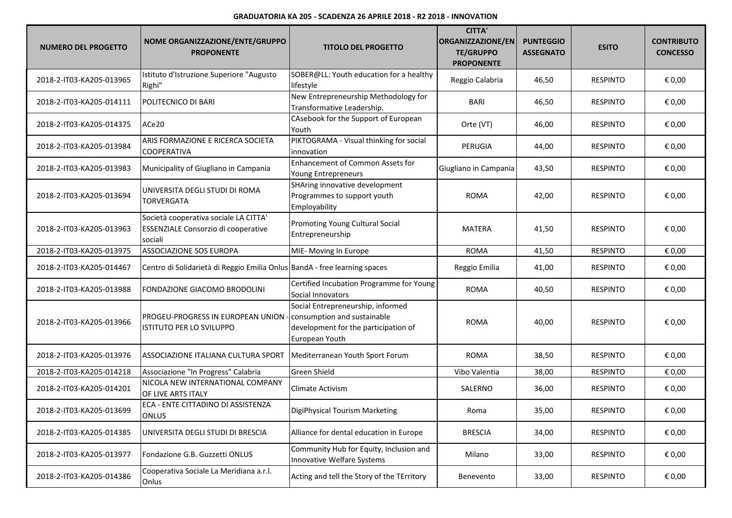| <b>NUMERO DEL PROGETTO</b> | NOME ORGANIZZAZIONE/ENTE/GRUPPO<br><b>PROPONENTE</b>                                    | <b>TITOLO DEL PROGETTO</b>                                                                                                 | <b>CITTA'</b><br>ORGANIZZAZIONE/EN<br><b>TE/GRUPPO</b><br><b>PROPONENTE</b> | <b>PUNTEGGIO</b><br><b>ASSEGNATO</b> | <b>ESITO</b>    | <b>CONTRIBUTO</b><br><b>CONCESSO</b> |
|----------------------------|-----------------------------------------------------------------------------------------|----------------------------------------------------------------------------------------------------------------------------|-----------------------------------------------------------------------------|--------------------------------------|-----------------|--------------------------------------|
| 2018-2-IT03-KA205-013965   | Istituto d'Istruzione Superiore "Augusto<br>Righi"                                      | SOBER@LL: Youth education for a healthy<br>lifestyle                                                                       | Reggio Calabria                                                             | 46,50                                | <b>RESPINTO</b> | € 0,00                               |
| 2018-2-IT03-KA205-014111   | POLITECNICO DI BARI                                                                     | New Entrepreneurship Methodology for<br>Transformative Leadership.                                                         | <b>BARI</b>                                                                 | 46,50                                | <b>RESPINTO</b> | € 0,00                               |
| 2018-2-IT03-KA205-014375   | ACe20                                                                                   | CAsebook for the Support of European<br>Youth                                                                              | Orte (VT)                                                                   | 46,00                                | <b>RESPINTO</b> | € 0,00                               |
| 2018-2-IT03-KA205-013984   | ARIS FORMAZIONE E RICERCA SOCIETA<br><b>COOPERATIVA</b>                                 | PIKTOGRAMA - Visual thinking for social<br>innovation                                                                      | PERUGIA                                                                     | 44,00                                | <b>RESPINTO</b> | € 0,00                               |
| 2018-2-IT03-KA205-013983   | Municipality of Giugliano in Campania                                                   | Enhancement of Common Assets for<br>Young Entrepreneurs                                                                    | Giugliano in Campania                                                       | 43,50                                | <b>RESPINTO</b> | € 0,00                               |
| 2018-2-IT03-KA205-013694   | UNIVERSITA DEGLI STUDI DI ROMA<br><b>TORVERGATA</b>                                     | SHAring innovative development<br>Programmes to support youth<br>Employability                                             | <b>ROMA</b>                                                                 | 42,00                                | <b>RESPINTO</b> | € 0,00                               |
| 2018-2-IT03-KA205-013963   | Società cooperativa sociale LA CITTA'<br>ESSENZIALE Consorzio di cooperative<br>sociali | Promoting Young Cultural Social<br>Entrepreneurship                                                                        | <b>MATERA</b>                                                               | 41,50                                | <b>RESPINTO</b> | € 0,00                               |
| 2018-2-IT03-KA205-013975   | <b>ASSOCIAZIONE SOS EUROPA</b>                                                          | MIE- Moving In Europe                                                                                                      | <b>ROMA</b>                                                                 | 41,50                                | <b>RESPINTO</b> | € 0,00                               |
| 2018-2-IT03-KA205-014467   | Centro di Solidarietà di Reggio Emilia Onlus BandA - free learning spaces               |                                                                                                                            | Reggio Emilia                                                               | 41,00                                | <b>RESPINTO</b> | € 0,00                               |
| 2018-2-IT03-KA205-013988   | FONDAZIONE GIACOMO BRODOLINI                                                            | Certified Incubation Programme for Young<br>Social Innovators                                                              | <b>ROMA</b>                                                                 | 40,50                                | <b>RESPINTO</b> | € 0,00                               |
| 2018-2-IT03-KA205-013966   | PROGEU-PROGRESS IN EUROPEAN UNION<br>ISTITUTO PER LO SVILUPPO                           | Social Entrepreneurship, informed<br>consumption and sustainable<br>development for the participation of<br>European Youth | <b>ROMA</b>                                                                 | 40,00                                | <b>RESPINTO</b> | € 0,00                               |
| 2018-2-IT03-KA205-013976   | ASSOCIAZIONE ITALIANA CULTURA SPORT                                                     | Mediterranean Youth Sport Forum                                                                                            | <b>ROMA</b>                                                                 | 38,50                                | <b>RESPINTO</b> | € 0,00                               |
| 2018-2-IT03-KA205-014218   | Associazione "In Progress" Calabria                                                     | Green Shield                                                                                                               | Vibo Valentia                                                               | 38,00                                | <b>RESPINTO</b> | € 0,00                               |
| 2018-2-IT03-KA205-014201   | NICOLA NEW INTERNATIONAL COMPANY<br>OF LIVE ARTS ITALY                                  | Climate Activism                                                                                                           | SALERNO                                                                     | 36,00                                | <b>RESPINTO</b> | € 0,00                               |
| 2018-2-IT03-KA205-013699   | ECA - ENTE CITTADINO DI ASSISTENZA<br>ONLUS                                             | DigiPhysical Tourism Marketing                                                                                             | Roma                                                                        | 35,00                                | <b>RESPINTO</b> | € 0,00                               |
| 2018-2-IT03-KA205-014385   | UNIVERSITA DEGLI STUDI DI BRESCIA                                                       | Alliance for dental education in Europe                                                                                    | <b>BRESCIA</b>                                                              | 34,00                                | <b>RESPINTO</b> | € 0,00                               |
| 2018-2-IT03-KA205-013977   | Fondazione G.B. Guzzetti ONLUS                                                          | Community Hub for Equity, Inclusion and<br>Innovative Welfare Systems                                                      | Milano                                                                      | 33,00                                | <b>RESPINTO</b> | € 0,00                               |
| 2018-2-IT03-KA205-014386   | Cooperativa Sociale La Meridiana a.r.l.<br>Onlus                                        | Acting and tell the Story of the TErritory                                                                                 | Benevento                                                                   | 33,00                                | <b>RESPINTO</b> | € 0,00                               |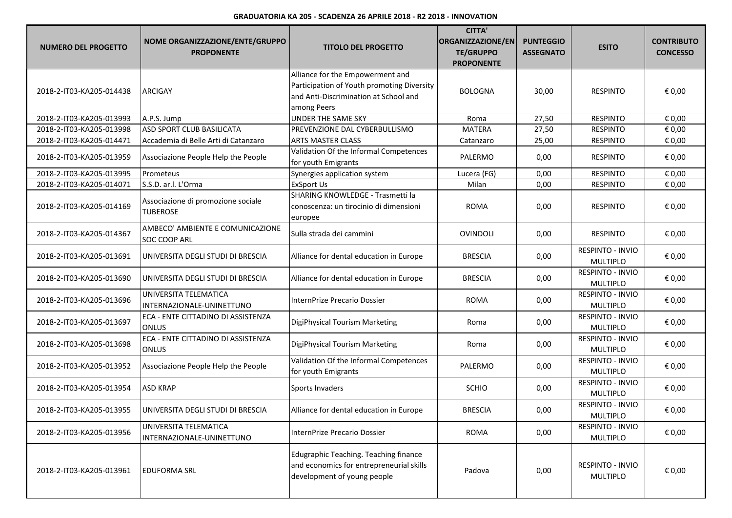| <b>NUMERO DEL PROGETTO</b> | NOME ORGANIZZAZIONE/ENTE/GRUPPO<br><b>PROPONENTE</b>    | <b>TITOLO DEL PROGETTO</b>                                                                                                             | <b>CITTA'</b><br>ORGANIZZAZIONE/EN<br><b>TE/GRUPPO</b><br><b>PROPONENTE</b> | <b>PUNTEGGIO</b><br><b>ASSEGNATO</b> | <b>ESITO</b>                               | <b>CONTRIBUTO</b><br><b>CONCESSO</b> |
|----------------------------|---------------------------------------------------------|----------------------------------------------------------------------------------------------------------------------------------------|-----------------------------------------------------------------------------|--------------------------------------|--------------------------------------------|--------------------------------------|
| 2018-2-IT03-KA205-014438   | <b>ARCIGAY</b>                                          | Alliance for the Empowerment and<br>Participation of Youth promoting Diversity<br>and Anti-Discrimination at School and<br>among Peers | <b>BOLOGNA</b>                                                              | 30,00                                | <b>RESPINTO</b>                            | € 0,00                               |
| 2018-2-IT03-KA205-013993   | A.P.S. Jump                                             | <b>UNDER THE SAME SKY</b>                                                                                                              | Roma                                                                        | 27,50                                | <b>RESPINTO</b>                            | € 0,00                               |
| 2018-2-IT03-KA205-013998   | ASD SPORT CLUB BASILICATA                               | PREVENZIONE DAL CYBERBULLISMO                                                                                                          | <b>MATERA</b>                                                               | 27,50                                | <b>RESPINTO</b>                            | € 0,00                               |
| 2018-2-IT03-KA205-014471   | Accademia di Belle Arti di Catanzaro                    | <b>ARTS MASTER CLASS</b>                                                                                                               | Catanzaro                                                                   | 25,00                                | <b>RESPINTO</b>                            | € 0,00                               |
| 2018-2-IT03-KA205-013959   | Associazione People Help the People                     | Validation Of the Informal Competences<br>for youth Emigrants                                                                          | PALERMO                                                                     | 0,00                                 | <b>RESPINTO</b>                            | € 0,00                               |
| 2018-2-IT03-KA205-013995   | Prometeus                                               | Synergies application system                                                                                                           | Lucera (FG)                                                                 | 0,00                                 | <b>RESPINTO</b>                            | € 0,00                               |
| 2018-2-IT03-KA205-014071   | S.S.D. ar.l. L'Orma                                     | <b>ExSport Us</b>                                                                                                                      | Milan                                                                       | 0,00                                 | <b>RESPINTO</b>                            | € 0,00                               |
| 2018-2-IT03-KA205-014169   | Associazione di promozione sociale<br><b>TUBEROSE</b>   | SHARING KNOWLEDGE - Trasmetti la<br>conoscenza: un tirocinio di dimensioni<br>europee                                                  | <b>ROMA</b>                                                                 | 0,00                                 | <b>RESPINTO</b>                            | € 0,00                               |
| 2018-2-IT03-KA205-014367   | AMBECO' AMBIENTE E COMUNICAZIONE<br><b>SOC COOP ARL</b> | Sulla strada dei cammini                                                                                                               | <b>OVINDOLI</b>                                                             | 0,00                                 | <b>RESPINTO</b>                            | € 0,00                               |
| 2018-2-IT03-KA205-013691   | UNIVERSITA DEGLI STUDI DI BRESCIA                       | Alliance for dental education in Europe                                                                                                | <b>BRESCIA</b>                                                              | 0,00                                 | RESPINTO - INVIO<br><b>MULTIPLO</b>        | € 0,00                               |
| 2018-2-IT03-KA205-013690   | UNIVERSITA DEGLI STUDI DI BRESCIA                       | Alliance for dental education in Europe                                                                                                | <b>BRESCIA</b>                                                              | 0,00                                 | <b>RESPINTO - INVIO</b><br><b>MULTIPLO</b> | € 0,00                               |
| 2018-2-IT03-KA205-013696   | UNIVERSITA TELEMATICA<br>INTERNAZIONALE-UNINETTUNO      | InternPrize Precario Dossier                                                                                                           | <b>ROMA</b>                                                                 | 0,00                                 | RESPINTO - INVIO<br><b>MULTIPLO</b>        | € 0,00                               |
| 2018-2-IT03-KA205-013697   | ECA - ENTE CITTADINO DI ASSISTENZA<br><b>ONLUS</b>      | DigiPhysical Tourism Marketing                                                                                                         | Roma                                                                        | 0,00                                 | RESPINTO - INVIO<br><b>MULTIPLO</b>        | € 0,00                               |
| 2018-2-IT03-KA205-013698   | ECA - ENTE CITTADINO DI ASSISTENZA<br><b>ONLUS</b>      | DigiPhysical Tourism Marketing                                                                                                         | Roma                                                                        | 0,00                                 | RESPINTO - INVIO<br><b>MULTIPLO</b>        | € 0,00                               |
| 2018-2-IT03-KA205-013952   | Associazione People Help the People                     | Validation Of the Informal Competences<br>for youth Emigrants                                                                          | PALERMO                                                                     | 0,00                                 | RESPINTO - INVIO<br><b>MULTIPLO</b>        | € 0,00                               |
| 2018-2-IT03-KA205-013954   | <b>ASD KRAP</b>                                         | Sports Invaders                                                                                                                        | <b>SCHIO</b>                                                                | 0,00                                 | <b>RESPINTO - INVIO</b><br><b>MULTIPLO</b> | € 0,00                               |
| 2018-2-IT03-KA205-013955   | IUNIVERSITA DEGLI STUDI DI BRESCIA                      | Alliance for dental education in Europe                                                                                                | <b>BRESCIA</b>                                                              | 0,00                                 | <b>RESPINTO - INVIO</b><br>MULTIPLO        | € 0,00                               |
| 2018-2-IT03-KA205-013956   | UNIVERSITA TELEMATICA<br>INTERNAZIONALE-UNINETTUNO      | InternPrize Precario Dossier                                                                                                           | <b>ROMA</b>                                                                 | 0,00                                 | RESPINTO - INVIO<br>MULTIPLO               | € 0,00                               |
| 2018-2-IT03-KA205-013961   | <b>EDUFORMA SRL</b>                                     | Edugraphic Teaching. Teaching finance<br>and economics for entrepreneurial skills<br>development of young people                       | Padova                                                                      | 0,00                                 | <b>RESPINTO - INVIO</b><br><b>MULTIPLO</b> | € 0,00                               |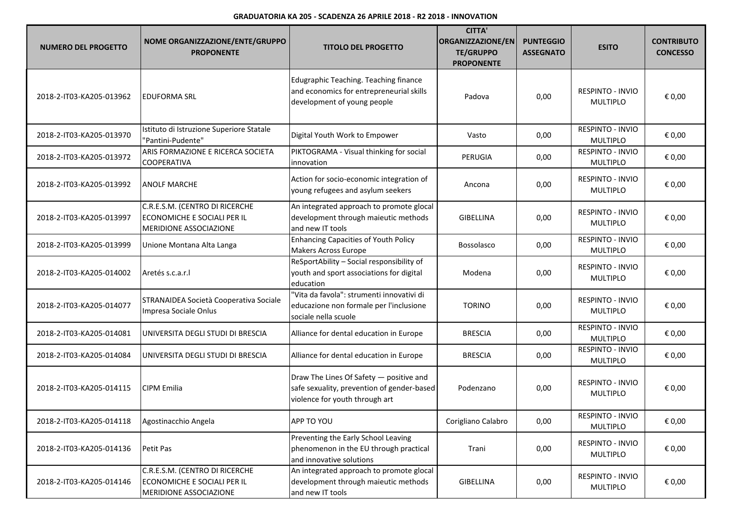| <b>NUMERO DEL PROGETTO</b> | NOME ORGANIZZAZIONE/ENTE/GRUPPO<br><b>PROPONENTE</b>                                           | <b>TITOLO DEL PROGETTO</b>                                                                                              | <b>CITTA'</b><br>ORGANIZZAZIONE/EN<br><b>TE/GRUPPO</b><br><b>PROPONENTE</b> | <b>PUNTEGGIO</b><br><b>ASSEGNATO</b> | <b>ESITO</b>                               | <b>CONTRIBUTO</b><br><b>CONCESSO</b> |
|----------------------------|------------------------------------------------------------------------------------------------|-------------------------------------------------------------------------------------------------------------------------|-----------------------------------------------------------------------------|--------------------------------------|--------------------------------------------|--------------------------------------|
| 2018-2-IT03-KA205-013962   | lEDUFORMA SRL                                                                                  | Edugraphic Teaching. Teaching finance<br>and economics for entrepreneurial skills<br>development of young people        | Padova                                                                      | 0,00                                 | <b>RESPINTO - INVIO</b><br><b>MULTIPLO</b> | € 0,00                               |
| 2018-2-IT03-KA205-013970   | Istituto di Istruzione Superiore Statale<br>"Pantini-Pudente"                                  | Digital Youth Work to Empower                                                                                           | Vasto                                                                       | 0,00                                 | RESPINTO - INVIO<br><b>MULTIPLO</b>        | € 0,00                               |
| 2018-2-IT03-KA205-013972   | ARIS FORMAZIONE E RICERCA SOCIETA<br><b>COOPERATIVA</b>                                        | PIKTOGRAMA - Visual thinking for social<br>innovation                                                                   | PERUGIA                                                                     | 0,00                                 | RESPINTO - INVIO<br><b>MULTIPLO</b>        | € 0,00                               |
| 2018-2-IT03-KA205-013992   | <b>ANOLF MARCHE</b>                                                                            | Action for socio-economic integration of<br>young refugees and asylum seekers                                           | Ancona                                                                      | 0,00                                 | RESPINTO - INVIO<br><b>MULTIPLO</b>        | € 0,00                               |
| 2018-2-IT03-KA205-013997   | C.R.E.S.M. (CENTRO DI RICERCHE<br>ECONOMICHE E SOCIALI PER IL<br><b>MERIDIONE ASSOCIAZIONE</b> | An integrated approach to promote glocal<br>development through maieutic methods<br>and new IT tools                    | <b>GIBELLINA</b>                                                            | 0,00                                 | RESPINTO - INVIO<br><b>MULTIPLO</b>        | € 0,00                               |
| 2018-2-IT03-KA205-013999   | Unione Montana Alta Langa                                                                      | <b>Enhancing Capacities of Youth Policy</b><br>Makers Across Europe                                                     | <b>Bossolasco</b>                                                           | 0,00                                 | RESPINTO - INVIO<br><b>MULTIPLO</b>        | € 0,00                               |
| 2018-2-IT03-KA205-014002   | Aretés s.c.a.r.l                                                                               | ReSportAbility - Social responsibility of<br>youth and sport associations for digital<br>education                      | Modena                                                                      | 0,00                                 | RESPINTO - INVIO<br><b>MULTIPLO</b>        | € 0,00                               |
| 2018-2-IT03-KA205-014077   | STRANAIDEA Società Cooperativa Sociale<br>Impresa Sociale Onlus                                | "Vita da favola": strumenti innovativi di<br>educazione non formale per l'inclusione<br>sociale nella scuole            | <b>TORINO</b>                                                               | 0,00                                 | <b>RESPINTO - INVIO</b><br>MULTIPLO        | € 0,00                               |
| 2018-2-IT03-KA205-014081   | UNIVERSITA DEGLI STUDI DI BRESCIA                                                              | Alliance for dental education in Europe                                                                                 | <b>BRESCIA</b>                                                              | 0,00                                 | RESPINTO - INVIO<br><b>MULTIPLO</b>        | € 0,00                               |
| 2018-2-IT03-KA205-014084   | UNIVERSITA DEGLI STUDI DI BRESCIA                                                              | Alliance for dental education in Europe                                                                                 | <b>BRESCIA</b>                                                              | 0,00                                 | RESPINTO - INVIO<br><b>MULTIPLO</b>        | € 0,00                               |
| 2018-2-IT03-KA205-014115   | CIPM Emilia                                                                                    | Draw The Lines Of Safety - positive and<br>safe sexuality, prevention of gender-based<br>violence for youth through art | Podenzano                                                                   | 0,00                                 | RESPINTO - INVIO<br><b>MULTIPLO</b>        | € 0,00                               |
| 2018-2-IT03-KA205-014118   | Agostinacchio Angela                                                                           | APP TO YOU                                                                                                              | Corigliano Calabro                                                          | 0,00                                 | RESPINTO - INVIO<br><b>MULTIPLO</b>        | € 0,00                               |
| 2018-2-IT03-KA205-014136   | Petit Pas                                                                                      | Preventing the Early School Leaving<br>phenomenon in the EU through practical<br>and innovative solutions               | Trani                                                                       | 0,00                                 | RESPINTO - INVIO<br><b>MULTIPLO</b>        | € 0,00                               |
| 2018-2-IT03-KA205-014146   | C.R.E.S.M. (CENTRO DI RICERCHE<br>ECONOMICHE E SOCIALI PER IL<br>MERIDIONE ASSOCIAZIONE        | An integrated approach to promote glocal<br>development through maieutic methods<br>and new IT tools                    | GIBELLINA                                                                   | 0,00                                 | RESPINTO - INVIO<br>MULTIPLO               | € 0,00                               |